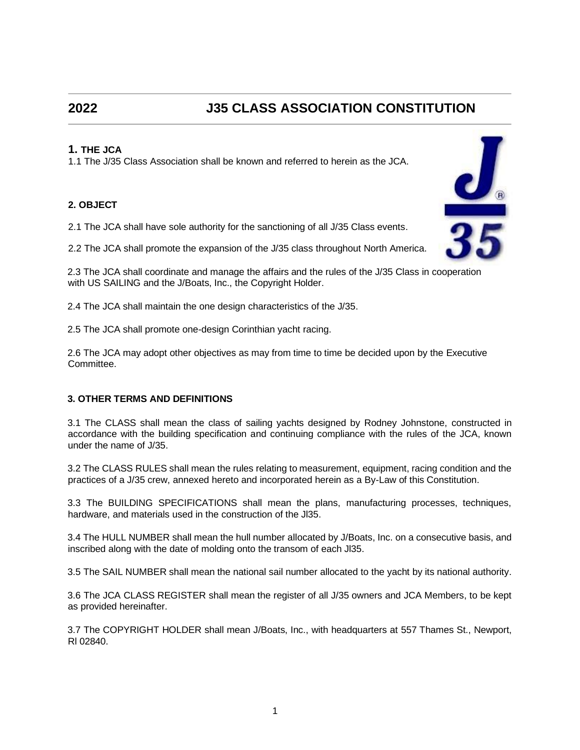# **2022 J35 CLASS ASSOCIATION CONSTITUTION**

# **1. THE JCA**

1.1 The J/35 Class Association shall be known and referred to herein as the JCA.

# **2. OBJECT**

2.1 The JCA shall have sole authority for the sanctioning of all J/35 Class events.

2.2 The JCA shall promote the expansion of the J/35 class throughout North America.

2.3 The JCA shall coordinate and manage the affairs and the rules of the J/35 Class in cooperation with US SAILING and the J/Boats, Inc., the Copyright Holder.

2.4 The JCA shall maintain the one design characteristics of the J/35.

2.5 The JCA shall promote one-design Corinthian yacht racing.

2.6 The JCA may adopt other objectives as may from time to time be decided upon by the Executive Committee.

# **3. OTHER TERMS AND DEFINITIONS**

3.1 The CLASS shall mean the class of sailing yachts designed by Rodney Johnstone, constructed in accordance with the building specification and continuing compliance with the rules of the JCA, known under the name of J/35.

3.2 The CLASS RULES shall mean the rules relating to measurement, equipment, racing condition and the practices of a J/35 crew, annexed hereto and incorporated herein as a By-Law of this Constitution.

3.3 The BUILDING SPECIFICATIONS shall mean the plans, manufacturing processes, techniques, hardware, and materials used in the construction of the Jl35.

3.4 The HULL NUMBER shall mean the hull number allocated by J/Boats, Inc. on a consecutive basis, and inscribed along with the date of molding onto the transom of each Jl35.

3.5 The SAIL NUMBER shall mean the national sail number allocated to the yacht by its national authority.

3.6 The JCA CLASS REGISTER shall mean the register of all J/35 owners and JCA Members, to be kept as provided hereinafter.

3.7 The COPYRIGHT HOLDER shall mean J/Boats, Inc., with headquarters at 557 Thames St., Newport, Rl 02840.

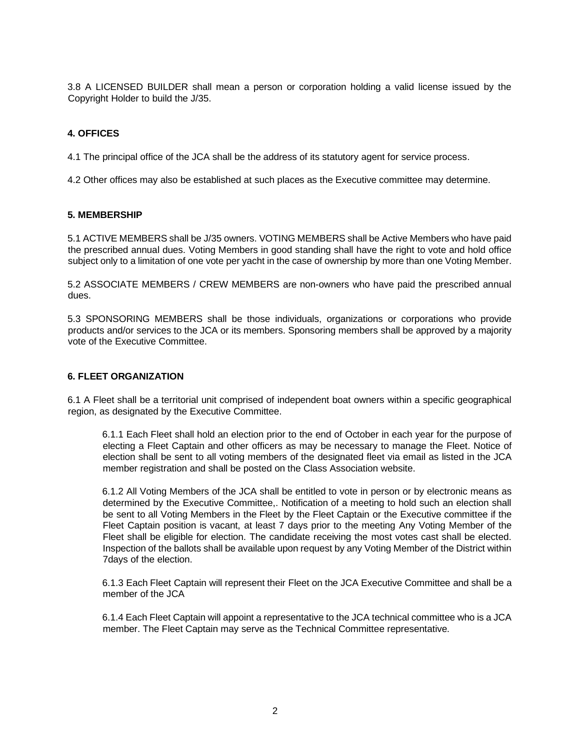3.8 A LICENSED BUILDER shall mean a person or corporation holding a valid license issued by the Copyright Holder to build the J/35.

# **4. OFFICES**

4.1 The principal office of the JCA shall be the address of its statutory agent for service process.

4.2 Other offices may also be established at such places as the Executive committee may determine.

#### **5. MEMBERSHIP**

5.1 ACTIVE MEMBERS shall be J/35 owners. VOTING MEMBERS shall be Active Members who have paid the prescribed annual dues. Voting Members in good standing shall have the right to vote and hold office subject only to a limitation of one vote per yacht in the case of ownership by more than one Voting Member.

5.2 ASSOCIATE MEMBERS / CREW MEMBERS are non-owners who have paid the prescribed annual dues.

5.3 SPONSORING MEMBERS shall be those individuals, organizations or corporations who provide products and/or services to the JCA or its members. Sponsoring members shall be approved by a majority vote of the Executive Committee.

#### **6. FLEET ORGANIZATION**

6.1 A Fleet shall be a territorial unit comprised of independent boat owners within a specific geographical region, as designated by the Executive Committee.

6.1.1 Each Fleet shall hold an election prior to the end of October in each year for the purpose of electing a Fleet Captain and other officers as may be necessary to manage the Fleet. Notice of election shall be sent to all voting members of the designated fleet via email as listed in the JCA member registration and shall be posted on the Class Association website.

6.1.2 All Voting Members of the JCA shall be entitled to vote in person or by electronic means as determined by the Executive Committee,. Notification of a meeting to hold such an election shall be sent to all Voting Members in the Fleet by the Fleet Captain or the Executive committee if the Fleet Captain position is vacant, at least 7 days prior to the meeting Any Voting Member of the Fleet shall be eligible for election. The candidate receiving the most votes cast shall be elected. Inspection of the ballots shall be available upon request by any Voting Member of the District within 7days of the election.

6.1.3 Each Fleet Captain will represent their Fleet on the JCA Executive Committee and shall be a member of the JCA

6.1.4 Each Fleet Captain will appoint a representative to the JCA technical committee who is a JCA member. The Fleet Captain may serve as the Technical Committee representative.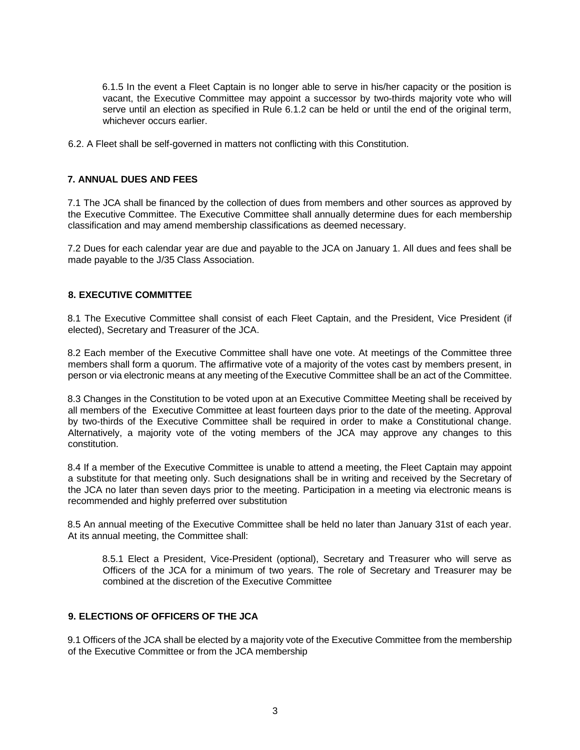6.1.5 In the event a Fleet Captain is no longer able to serve in his/her capacity or the position is vacant, the Executive Committee may appoint a successor by two-thirds majority vote who will serve until an election as specified in Rule 6.1.2 can be held or until the end of the original term, whichever occurs earlier.

6.2. A Fleet shall be self-governed in matters not conflicting with this Constitution.

# **7. ANNUAL DUES AND FEES**

7.1 The JCA shall be financed by the collection of dues from members and other sources as approved by the Executive Committee. The Executive Committee shall annually determine dues for each membership classification and may amend membership classifications as deemed necessary.

7.2 Dues for each calendar year are due and payable to the JCA on January 1. All dues and fees shall be made payable to the J/35 Class Association.

# **8. EXECUTIVE COMMITTEE**

8.1 The Executive Committee shall consist of each Fleet Captain, and the President, Vice President (if elected), Secretary and Treasurer of the JCA.

8.2 Each member of the Executive Committee shall have one vote. At meetings of the Committee three members shall form a quorum. The affirmative vote of a majority of the votes cast by members present, in person or via electronic means at any meeting of the Executive Committee shall be an act of the Committee.

8.3 Changes in the Constitution to be voted upon at an Executive Committee Meeting shall be received by all members of the Executive Committee at least fourteen days prior to the date of the meeting. Approval by two-thirds of the Executive Committee shall be required in order to make a Constitutional change. Alternatively, a majority vote of the voting members of the JCA may approve any changes to this constitution.

8.4 If a member of the Executive Committee is unable to attend a meeting, the Fleet Captain may appoint a substitute for that meeting only. Such designations shall be in writing and received by the Secretary of the JCA no later than seven days prior to the meeting. Participation in a meeting via electronic means is recommended and highly preferred over substitution

8.5 An annual meeting of the Executive Committee shall be held no later than January 31st of each year. At its annual meeting, the Committee shall:

8.5.1 Elect a President, Vice-President (optional), Secretary and Treasurer who will serve as Officers of the JCA for a minimum of two years. The role of Secretary and Treasurer may be combined at the discretion of the Executive Committee

# **9. ELECTIONS OF OFFICERS OF THE JCA**

9.1 Officers of the JCA shall be elected by a majority vote of the Executive Committee from the membership of the Executive Committee or from the JCA membership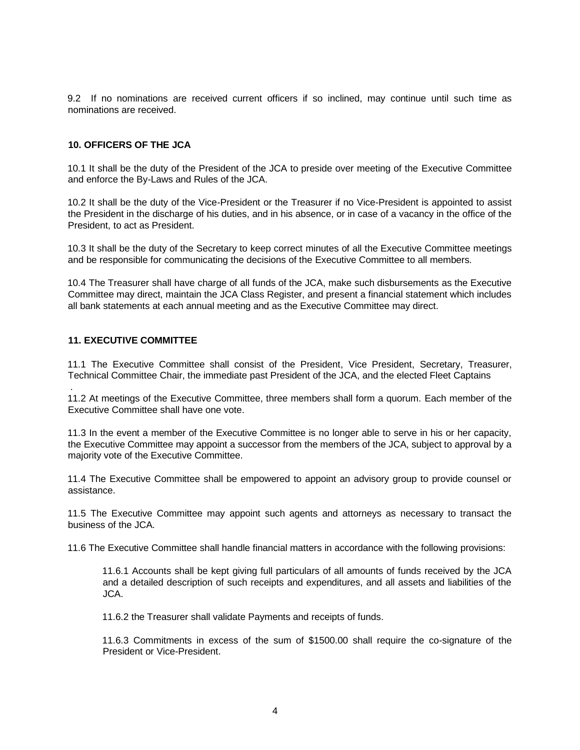9.2 If no nominations are received current officers if so inclined, may continue until such time as nominations are received.

#### **10. OFFICERS OF THE JCA**

10.1 It shall be the duty of the President of the JCA to preside over meeting of the Executive Committee and enforce the By-Laws and Rules of the JCA.

10.2 It shall be the duty of the Vice-President or the Treasurer if no Vice-President is appointed to assist the President in the discharge of his duties, and in his absence, or in case of a vacancy in the office of the President, to act as President.

10.3 It shall be the duty of the Secretary to keep correct minutes of all the Executive Committee meetings and be responsible for communicating the decisions of the Executive Committee to all members.

10.4 The Treasurer shall have charge of all funds of the JCA, make such disbursements as the Executive Committee may direct, maintain the JCA Class Register, and present a financial statement which includes all bank statements at each annual meeting and as the Executive Committee may direct.

#### **11. EXECUTIVE COMMITTEE**

.

11.1 The Executive Committee shall consist of the President, Vice President, Secretary, Treasurer, Technical Committee Chair, the immediate past President of the JCA, and the elected Fleet Captains

11.2 At meetings of the Executive Committee, three members shall form a quorum. Each member of the Executive Committee shall have one vote.

11.3 In the event a member of the Executive Committee is no longer able to serve in his or her capacity, the Executive Committee may appoint a successor from the members of the JCA, subject to approval by a majority vote of the Executive Committee.

11.4 The Executive Committee shall be empowered to appoint an advisory group to provide counsel or assistance.

11.5 The Executive Committee may appoint such agents and attorneys as necessary to transact the business of the JCA.

11.6 The Executive Committee shall handle financial matters in accordance with the following provisions:

11.6.1 Accounts shall be kept giving full particulars of all amounts of funds received by the JCA and a detailed description of such receipts and expenditures, and all assets and liabilities of the JCA.

11.6.2 the Treasurer shall validate Payments and receipts of funds.

11.6.3 Commitments in excess of the sum of \$1500.00 shall require the co-signature of the President or Vice-President.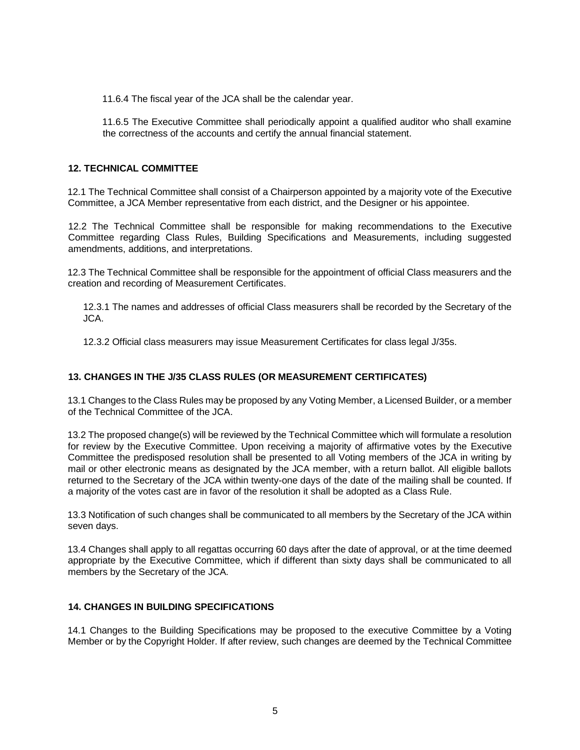11.6.4 The fiscal year of the JCA shall be the calendar year.

11.6.5 The Executive Committee shall periodically appoint a qualified auditor who shall examine the correctness of the accounts and certify the annual financial statement.

# **12. TECHNICAL COMMITTEE**

12.1 The Technical Committee shall consist of a Chairperson appointed by a majority vote of the Executive Committee, a JCA Member representative from each district, and the Designer or his appointee.

12.2 The Technical Committee shall be responsible for making recommendations to the Executive Committee regarding Class Rules, Building Specifications and Measurements, including suggested amendments, additions, and interpretations.

12.3 The Technical Committee shall be responsible for the appointment of official Class measurers and the creation and recording of Measurement Certificates.

12.3.1 The names and addresses of official Class measurers shall be recorded by the Secretary of the JCA.

12.3.2 Official class measurers may issue Measurement Certificates for class legal J/35s.

# **13. CHANGES IN THE J/35 CLASS RULES (OR MEASUREMENT CERTIFICATES)**

13.1 Changes to the Class Rules may be proposed by any Voting Member, a Licensed Builder, or a member of the Technical Committee of the JCA.

13.2 The proposed change(s) will be reviewed by the Technical Committee which will formulate a resolution for review by the Executive Committee. Upon receiving a majority of affirmative votes by the Executive Committee the predisposed resolution shall be presented to all Voting members of the JCA in writing by mail or other electronic means as designated by the JCA member, with a return ballot. All eligible ballots returned to the Secretary of the JCA within twenty-one days of the date of the mailing shall be counted. If a majority of the votes cast are in favor of the resolution it shall be adopted as a Class Rule.

13.3 Notification of such changes shall be communicated to all members by the Secretary of the JCA within seven days.

13.4 Changes shall apply to all regattas occurring 60 days after the date of approval, or at the time deemed appropriate by the Executive Committee, which if different than sixty days shall be communicated to all members by the Secretary of the JCA.

# **14. CHANGES IN BUILDING SPECIFICATIONS**

14.1 Changes to the Building Specifications may be proposed to the executive Committee by a Voting Member or by the Copyright Holder. If after review, such changes are deemed by the Technical Committee